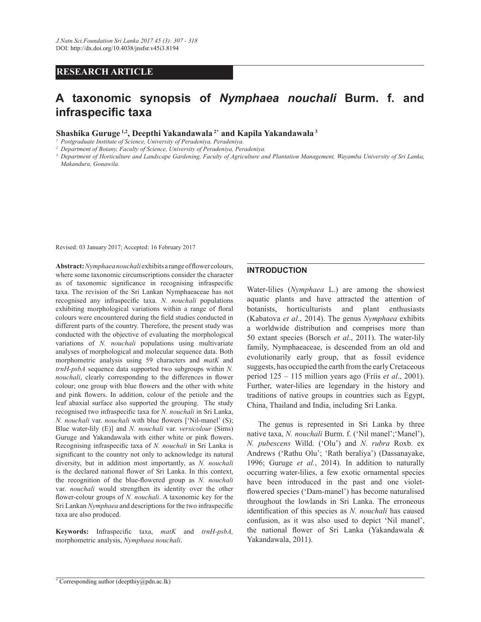# **RESEARCH ARTICLE**

# **A taxonomic synopsis of** *Nymphaea nouchali* **Burm. f. and infraspecific taxa**

**Shashika Guruge 1,2, Deepthi Yakandawala 2\* and Kapila Yakandawala<sup>3</sup>**

*1 Postgraduate Institute of Science, University of Peradeniya, Peradeniya.*

*2 Department of Botany, Faculty of Science, University of Peradeniya, Peradeniya.*

<sup>3</sup> Department of Horticulture and Landscape Gardening, Faculty of Agriculture and Plantation Management, Wayamba University of Sri Lanka, *Makandura, Gonawila.* 

Revised: 03 January 2017; Accepted: 16 February 2017

Abstract: *Nymphaea nouchali* exhibits a range of flower colours, where some taxonomic circumscriptions consider the character as of taxonomic significance in recognising infraspecific taxa. The revision of the Sri Lankan Nymphaeaceae has not recognised any infraspecific taxa. N. *nouchali* populations exhibiting morphological variations within a range of floral colours were encountered during the field studies conducted in different parts of the country. Therefore, the present study was conducted with the objective of evaluating the morphological variations of *N. nouchali* populations using multivariate analyses of morphological and molecular sequence data. Both morphometric analysis using 59 characters and *matK* and *trnH-psbA* sequence data supported two subgroups within N. *nouchali*, clearly corresponding to the differences in flower colour; one group with blue flowers and the other with white and pink flowers. In addition, colour of the petiole and the leaf abaxial surface also supported the grouping. The study recognised two infraspecific taxa for N. nouchali in Sri Lanka, *N. nouchali* var. *nouchali* with blue flowers ['Nil-manel' (S); Blue water-lily (E)] and *N. nouchali* var. *versicolour* (Sims) Guruge and Yakandawala with either white or pink flowers. Recognising infraspecific taxa of N. nouchali in Sri Lanka is significant to the country not only to acknowledge its natural diversity, but in addition most importantly, as *N. nouchali* is the declared national flower of Sri Lanka. In this context, the recognition of the blue-flowered group as *N. nouchali* var. *nouchali* would strengthen its identity over the other flower-colour groups of *N. nouchali*. A taxonomic key for the Sri Lankan *Nymphaea* and descriptions for the two infraspecific taxa are also produced.

Keywords: Infraspecific taxa, matK and trnH-psbA, morphometric analysis, *Nymphaea nouchali*.

#### **INTRODUCTION**

Water-lilies (*Nymphaea* L.) are among the showiest aquatic plants and have attracted the attention of botanists, horticulturists and plant enthusiasts (Kabatova et al., 2014). The genus *Nymphaea* exhibits a worldwide distribution and comprises more than 50 extant species (Borsch *et al.*, 2011). The water-lily family, Nymphaeaceae, is descended from an old and evolutionarily early group, that as fossil evidence suggests, has occupied the earth from the early Cretaceous period 125 – 115 million years ago (Friis *et al*., 2001). Further, water-lilies are legendary in the history and traditions of native groups in countries such as Egypt, China, Thailand and India, including Sri Lanka.

 The genus is represented in Sri Lanka by three native taxa, *N. nouchali* Burm. f. ('Nil manel';'Manel'), *N. pubescens* Willd. ('Olu') and *N. rubra* Roxb. ex Andrews ('Rathu Olu'; 'Rath beraliya') (Dassanayake, 1996; Guruge et al., 2014). In addition to naturally occurring water-lilies, a few exotic ornamental species have been introduced in the past and one violetflowered species ('Dam-manel') has become naturalised throughout the lowlands in Sri Lanka. The erroneous identification of this species as N. nouchali has caused confusion, as it was also used to depict 'Nil manel', the national flower of Sri Lanka (Yakandawala & Yakandawala, 2011).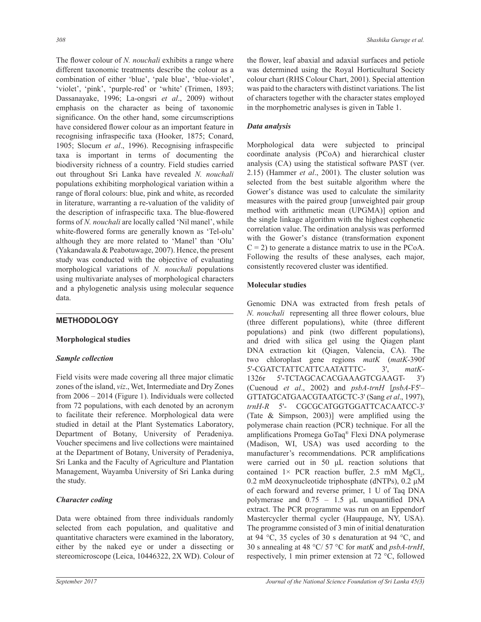The flower colour of N. nouchali exhibits a range where different taxonomic treatments describe the colour as a combination of either 'blue', 'pale blue', 'blue-violet', 'violet', 'pink', 'purple-red' or 'white' (Trimen, 1893; Dassanayake, 1996; La-ongsri et al., 2009) without emphasis on the character as being of taxonomic significance. On the other hand, some circumscriptions have considered flower colour as an important feature in recognising infraspecific taxa (Hooker, 1875; Conard, 1905; Slocum et al., 1996). Recognising infraspecific taxa is important in terms of documenting the biodiversity richness of a country. Field studies carried out throughout Sri Lanka have revealed *N. nouchali* populations exhibiting morphological variation within a range of floral colours: blue, pink and white, as recorded in literature, warranting a re-valuation of the validity of the description of infraspecific taxa. The blue-flowered forms of *N. nouchali* are locally called 'Nil manel', while white-flowered forms are generally known as 'Tel-olu' although they are more related to 'Manel' than 'Olu' (Yakandawala  $&$  Peabotuwage, 2007). Hence, the present study was conducted with the objective of evaluating morphological variations of *N. nouchali* populations using multivariate analyses of morphological characters and a phylogenetic analysis using molecular sequence data.

## **METHODOLOGY**

## **Morphological studies**

## *Sample collection*

Field visits were made covering all three major climatic zones of the island, viz., Wet, Intermediate and Dry Zones from  $2006 - 2014$  (Figure 1). Individuals were collected from 72 populations, with each denoted by an acronym to facilitate their reference. Morphological data were studied in detail at the Plant Systematics Laboratory, Department of Botany, University of Peradeniya. Voucher specimens and live collections were maintained at the Department of Botany, University of Peradeniya, Sri Lanka and the Faculty of Agriculture and Plantation Management, Wayamba University of Sri Lanka during the study.

## *Character coding*

Data were obtained from three individuals randomly selected from each population, and qualitative and quantitative characters were examined in the laboratory, either by the naked eye or under a dissecting or stereomicroscope (Leica, 10446322, 2X WD). Colour of the flower, leaf abaxial and adaxial surfaces and petiole was determined using the Royal Horticultural Society colour chart (RHS Colour Chart, 2001). Special attention was paid to the characters with distinct variations. The list of characters together with the character states employed in the morphometric analyses is given in Table 1.

## *Data analysis*

Morphological data were subjected to principal coordinate analysis (PCoA) and hierarchical cluster analysis (CA) using the statistical software PAST (ver. 2.15) (Hammer *et al.*, 2001). The cluster solution was selected from the best suitable algorithm where the Gower's distance was used to calculate the similarity measures with the paired group [unweighted pair group] method with arithmetic mean (UPGMA)] option and the single linkage algorithm with the highest cophenetic correlation value. The ordination analysis was performed with the Gower's distance (transformation exponent  $C = 2$ ) to generate a distance matrix to use in the PCoA. Following the results of these analyses, each major, consistently recovered cluster was identified.

## **Molecular studies**

Genomic DNA was extracted from fresh petals of *N. nouchali* representing all three flower colours, blue (three different populations), white (three different populations) and pink (two different populations), and dried with silica gel using the Qiagen plant DNA extraction kit (Qiagen, Valencia, CA). The two chloroplast gene regions matK (matK-390f) 5'-CGATCTATTCATTCAATATTTC-3' *matK*-  $1326r$ 5'-TCTAGCACACGAAAGTCGAAGT- $3')$ (Cuenoud *et al*., 2002) and *psbA-trnH* [*psbA*-F5'– GTTATGCATGAACGTAATGCTC-3' (Sang et al., 1997), trnH-R 5'- CGCGCATGGTGGATTCACAATCC-3' (Tate  $\&$  Simpson, 2003)] were amplified using the polymerase chain reaction (PCR) technique. For all the amplifications Promega GoTaq<sup>®</sup> Flexi DNA polymerase (Madison, WI, USA) was used according to the manufacturer's recommendations. PCR amplifications were carried out in 50  $\mu$ L reaction solutions that contained  $1 \times$  PCR reaction buffer, 2.5 mM MgCl<sub>2</sub>,  $0.2$  mM deoxynucleotide triphosphate (dNTPs),  $0.2 \mu M$ of each forward and reverse primer, 1 U of Taq DNA polymerase and  $0.75 - 1.5$  µL unquantified DNA extract. The PCR programme was run on an Eppendorf Mastercycler thermal cycler (Hauppauge, NY, USA). The programme consisted of 3 min of initial denaturation at 94 °C, 35 cycles of 30 s denaturation at 94 °C, and 30 s annealing at 48  $\degree$ C/ 57  $\degree$ C for *matK* and *psbA-trnH*, respectively, 1 min primer extension at 72  $\degree$ C, followed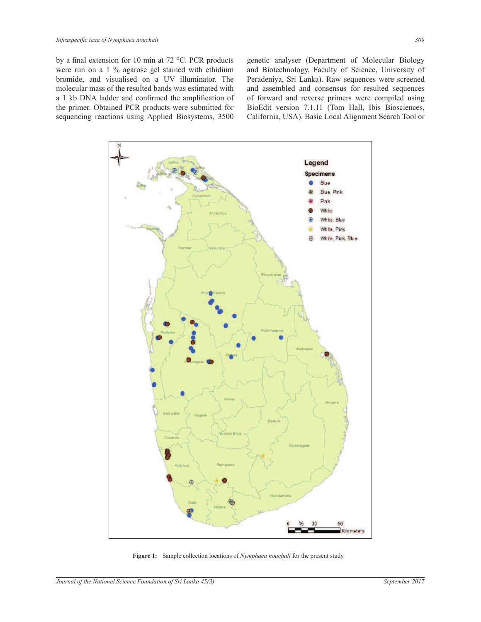by a final extension for 10 min at 72 °C. PCR products were run on a  $1\%$  agarose gel stained with ethidium bromide, and visualised on a UV illuminator. The molecular mass of the resulted bands was estimated with a 1 kb DNA ladder and confirmed the amplification of the primer. Obtained PCR products were submitted for sequencing reactions using Applied Biosystems, 3500

genetic analyser (Department of Molecular Biology and Biotechnology, Faculty of Science, University of Peradeniya, Sri Lanka). Raw sequences were screened and assembled and consensus for resulted sequences of forward and reverse primers were compiled using BioEdit version 7.1.11 (Tom Hall, Ibis Biosciences, California, USA). Basic Local Alignment Search Tool or



**Figure 1:** Sample collection locations of *Nymphaea nouchali* for the present study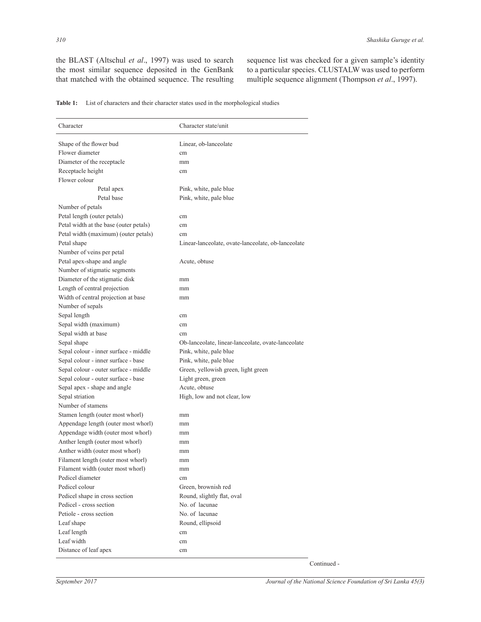the BLAST (Altschul et al., 1997) was used to search the most similar sequence deposited in the GenBank that matched with the obtained sequence. The resulting sequence list was checked for a given sample's identity to a particular species. CLUSTALW was used to perform multiple sequence alignment (Thompson *et al*., 1997).

**Table 1:** List of characters and their character states used in the morphological studies

| Character                              | Character state/unit                               |  |
|----------------------------------------|----------------------------------------------------|--|
| Shape of the flower bud                | Linear, ob-lanceolate                              |  |
| Flower diameter                        | cm                                                 |  |
| Diameter of the receptacle             | mm                                                 |  |
| Receptacle height                      | cm                                                 |  |
| Flower colour                          |                                                    |  |
| Petal apex                             | Pink, white, pale blue                             |  |
| Petal base                             | Pink, white, pale blue                             |  |
| Number of petals                       |                                                    |  |
| Petal length (outer petals)            | cm                                                 |  |
| Petal width at the base (outer petals) | cm                                                 |  |
| Petal width (maximum) (outer petals)   | cm                                                 |  |
| Petal shape                            | Linear-lanceolate, ovate-lanceolate, ob-lanceolate |  |
| Number of veins per petal              |                                                    |  |
| Petal apex-shape and angle             | Acute, obtuse                                      |  |
| Number of stigmatic segments           |                                                    |  |
| Diameter of the stigmatic disk         | mm                                                 |  |
| Length of central projection           | mm                                                 |  |
| Width of central projection at base    | mm                                                 |  |
| Number of sepals                       |                                                    |  |
| Sepal length                           | cm                                                 |  |
| Sepal width (maximum)                  | cm                                                 |  |
| Sepal width at base                    | cm                                                 |  |
| Sepal shape                            | Ob-lanceolate, linear-lanceolate, ovate-lanceolate |  |
| Sepal colour - inner surface - middle  | Pink, white, pale blue                             |  |
| Sepal colour - inner surface - base    | Pink, white, pale blue                             |  |
| Sepal colour - outer surface - middle  | Green, yellowish green, light green                |  |
| Sepal colour - outer surface - base    | Light green, green                                 |  |
| Sepal apex - shape and angle           | Acute, obtuse                                      |  |
| Sepal striation                        | High, low and not clear, low                       |  |
| Number of stamens                      |                                                    |  |
| Stamen length (outer most whorl)       | mm                                                 |  |
| Appendage length (outer most whorl)    | mm                                                 |  |
| Appendage width (outer most whorl)     | mm                                                 |  |
| Anther length (outer most whorl)       | mm                                                 |  |
| Anther width (outer most whorl)        | mm                                                 |  |
| Filament length (outer most whorl)     | mm                                                 |  |
| Filament width (outer most whorl)      | mm                                                 |  |
| Pedicel diameter                       | cm                                                 |  |
| Pedicel colour                         | Green, brownish red                                |  |
| Pedicel shape in cross section         | Round, slightly flat, oval                         |  |
| Pedicel - cross section                | No. of lacunae                                     |  |
| Petiole - cross section                | No. of lacunae                                     |  |
| Leaf shape                             | Round, ellipsoid                                   |  |
| Leaf length                            | cm                                                 |  |
| Leaf width                             | cm                                                 |  |
| Distance of leaf apex                  | cm                                                 |  |

Continued -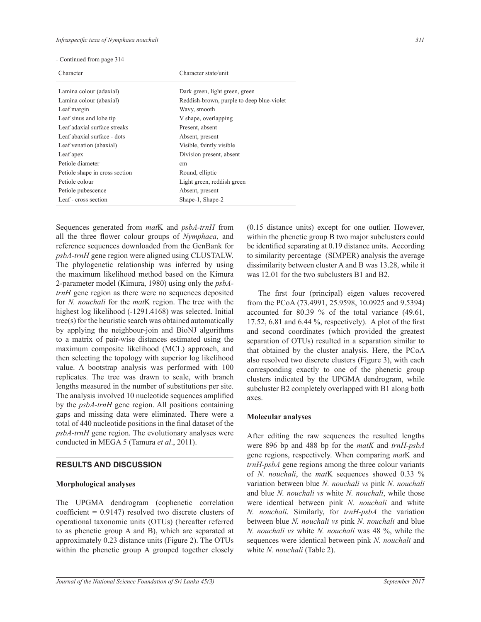|  | - Continued from page 314 |  |  |  |
|--|---------------------------|--|--|--|
|--|---------------------------|--|--|--|

| Character                      | Character state/unit                      |  |
|--------------------------------|-------------------------------------------|--|
| Lamina colour (adaxial)        | Dark green, light green, green            |  |
| Lamina colour (abaxial)        | Reddish-brown, purple to deep blue-violet |  |
| Leaf margin                    | Wavy, smooth                              |  |
| Leaf sinus and lobe tip        | V shape, overlapping                      |  |
| Leaf adaxial surface streaks   | Present, absent                           |  |
| Leaf abaxial surface - dots    | Absent, present                           |  |
| Leaf venation (abaxial)        | Visible, faintly visible                  |  |
| Leaf apex                      | Division present, absent                  |  |
| Petiole diameter               | cm                                        |  |
| Petiole shape in cross section | Round, elliptic                           |  |
| Petiole colour                 | Light green, reddish green                |  |
| Petiole pubescence             | Absent, present                           |  |
| Leaf - cross section           | Shape-1, Shape-2                          |  |

Sequences generated from matK and psbA-trnH from all the three flower colour groups of Nymphaea, and reference sequences downloaded from the GenBank for psbA-trnH gene region were aligned using CLUSTALW. The phylogenetic relationship was inferred by using the maximum likelihood method based on the Kimura 2-parameter model (Kimura, 1980) using only the *psbA*trnH gene region as there were no sequences deposited for N. nouchali for the matK region. The tree with the highest log likelihood (-1291.4168) was selected. Initial tree(s) for the heuristic search was obtained automatically by applying the neighbour-join and BioNJ algorithms to a matrix of pair-wise distances estimated using the maximum composite likelihood (MCL) approach, and then selecting the topology with superior log likelihood value. A bootstrap analysis was performed with 100 replicates. The tree was drawn to scale, with branch lengths measured in the number of substitutions per site. The analysis involved 10 nucleotide sequences amplified by the *psbA-trnH* gene region. All positions containing gaps and missing data were eliminated. There were a total of 440 nucleotide positions in the final dataset of the  $psbA$ -trnH gene region. The evolutionary analyses were conducted in MEGA 5 (Tamura et al., 2011).

#### **RESULTS AND DISCUSSION**

#### **Morphological analyses**

The UPGMA dendrogram (cophenetic correlation coefficient =  $0.9147$ ) resolved two discrete clusters of operational taxonomic units (OTUs) (hereafter referred to as phenetic group A and B), which are separated at approximately 0.23 distance units (Figure 2). The OTUs within the phenetic group A grouped together closely (0.15 distance units) except for one outlier. However, within the phenetic group B two major subclusters could be identified separating at 0.19 distance units. According to similarity percentage (SIMPER) analysis the average dissimilarity between cluster A and B was 13.28, while it was 12.01 for the two subclusters B1 and B2.

The first four (principal) eigen values recovered from the PCoA (73.4991, 25.9598, 10.0925 and 9.5394) accounted for 80.39  $\%$  of the total variance (49.61, 17.52, 6.81 and 6.44 %, respectively). A plot of the first and second coordinates (which provided the greatest separation of OTUs) resulted in a separation similar to that obtained by the cluster analysis. Here, the PCoA also resolved two discrete clusters (Figure 3), with each corresponding exactly to one of the phenetic group clusters indicated by the UPGMA dendrogram, while subcluster B2 completely overlapped with B1 along both axes.

#### **Molecular analyses**

After editing the raw sequences the resulted lengths were 896 bp and 488 bp for the *matK* and *trnH-psbA* gene regions, respectively. When comparing matK and *trnH-psbA* gene regions among the three colour variants of N. nouchali, the matK sequences showed 0.33 % variation between blue N. nouchali vs pink N. nouchali and blue N. nouchali vs white N. nouchali, while those were identical between pink N. nouchali and white N. nouchali. Similarly, for trnH-psbA the variation between blue N. nouchali vs pink N. nouchali and blue N. nouchali vs white N. nouchali was 48 %, while the sequences were identical between pink N. nouchali and white N. nouchali (Table 2).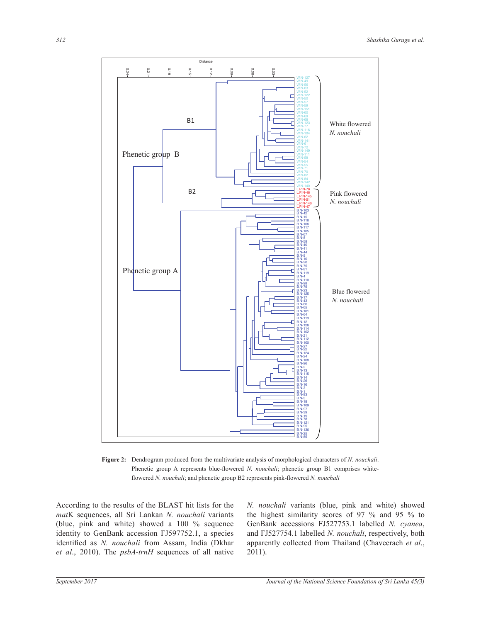

**Figure 2:** Dendrogram produced from the multivariate analysis of morphological characters of *N. nouchali*. Phenetic group A represents blue-flowered *N. nouchali*; phenetic group B1 comprises whiteflowered *N. nouchali*; and phenetic group B2 represents pink-flowered *N. nouchali* 

According to the results of the BLAST hit lists for the *mat*K sequences, all Sri Lankan N. nouchali variants (blue, pink and white) showed a  $100\%$  sequence identity to GenBank accession FJ597752.1, a species identified as *N. nouchali* from Assam, India (Dkhar *et al*., 2010). The *psbA-trnH* sequences of all native

*N. nouchali* variants (blue, pink and white) showed the highest similarity scores of 97 % and 95 % to GenBank accessions FJ527753.1 labelled N. cyanea, and FJ527754.1 labelled *N. nouchali*, respectively, both apparently collected from Thailand (Chaveerach *et al*., 2011).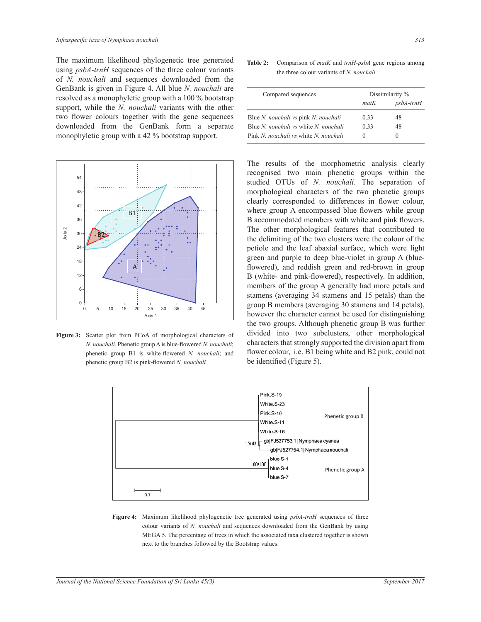The maximum likelihood phylogenetic tree generated using *psbA-trnH* sequences of the three colour variants of N. nouchali and sequences downloaded from the GenBank is given in Figure 4. All blue N. nouchali are resolved as a monophyletic group with a 100 % bootstrap support, while the *N. nouchali* variants with the other two flower colours together with the gene sequences downloaded from the GenBank form a separate monophyletic group with a 42 % bootstrap support.



Figure 3: Scatter plot from PCoA of morphological characters of N. nouchali. Phenetic group A is blue-flowered N. nouchali; phenetic group B1 is white-flowered N. nouchali; and phenetic group B2 is pink-flowered N. nouchali

Table 2: Comparison of  $m \times k$  and  $trnH-ps \times hA$  gene regions among the three colour variants of N. nouchali

| Compared sequences                                  | Dissimilarity % |                  |
|-----------------------------------------------------|-----------------|------------------|
|                                                     | matK            | <i>psbA-trnH</i> |
| Blue N. nouchali vs pink N. nouchali                | 0.33            | 48               |
| Blue <i>N. nouchali</i> vs white <i>N. nouchali</i> | 0.33            | 48               |
| Pink <i>N. nouchali</i> vs white <i>N. nouchali</i> | $\theta$        | $\theta$         |

The results of the morphometric analysis clearly recognised two main phenetic groups within the studied OTUs of N. nouchali. The separation of morphological characters of the two phenetic groups clearly corresponded to differences in flower colour, where group A encompassed blue flowers while group B accommodated members with white and pink flowers. The other morphological features that contributed to the delimiting of the two clusters were the colour of the petiole and the leaf abaxial surface, which were light green and purple to deep blue-violet in group A (blueflowered), and reddish green and red-brown in group B (white- and pink-flowered), respectively. In addition, members of the group A generally had more petals and stamens (averaging 34 stamens and 15 petals) than the group B members (averaging 30 stamens and 14 petals), however the character cannot be used for distinguishing the two groups. Although phenetic group B was further divided into two subclusters, other morphological characters that strongly supported the division apart from flower colour, *i.e.* B1 being white and B2 pink, could not be identified (Figure 5).



Figure 4: Maximum likelihood phylogenetic tree generated using psbA-trnH sequences of three colour variants of N. nouchali and sequences downloaded from the GenBank by using MEGA 5. The percentage of trees in which the associated taxa clustered together is shown next to the branches followed by the Bootstrap values.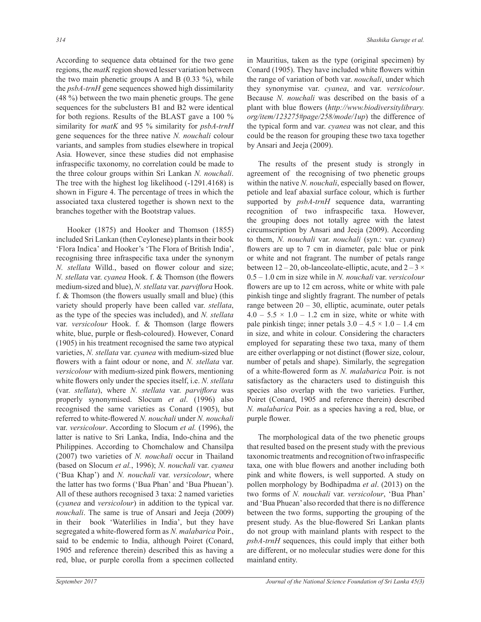According to sequence data obtained for the two gene regions, the *matK* region showed lesser variation between the two main phenetic groups A and B  $(0.33 \%)$ , while the *psbA-trnH* gene sequences showed high dissimilarity (48 %) between the two main phenetic groups. The gene sequences for the subclusters B1 and B2 were identical for both regions. Results of the BLAST gave a 100 % similarity for *matK* and 95 % similarity for *psbA-trnH* gene sequences for the three native N. nouchali colour variants, and samples from studies elsewhere in tropical Asia. However, since these studies did not emphasise infraspecific taxonomy, no correlation could be made to the three colour groups within Sri Lankan N. nouchali. The tree with the highest log likelihood  $(-1291.4168)$  is shown in Figure 4. The percentage of trees in which the associated taxa clustered together is shown next to the branches together with the Bootstrap values.

Hooker (1875) and Hooker and Thomson (1855) included Sri Lankan (then Ceylonese) plants in their book 'Flora Indica' and Hooker's 'The Flora of British India', recognising three infraspecific taxa under the synonym N. stellata Willd., based on flower colour and size; N. stellata var. cyanea Hook. f. & Thomson (the flowers medium-sized and blue), N. stellata var. parviflora Hook. f. & Thomson (the flowers usually small and blue) (this variety should properly have been called var. stellata, as the type of the species was included), and N. stellata var. versicolour Hook. f. & Thomson (large flowers white, blue, purple or flesh-coloured). However, Conard (1905) in his treatment recognised the same two atypical varieties, N. stellata var. cyanea with medium-sized blue flowers with a faint odour or none, and N. stellata var. versicolour with medium-sized pink flowers, mentioning white flowers only under the species itself, i.e. N. stellata (var. stellata), where N. stellata var. parviflora was properly synonymised. Slocum et al. (1996) also recognised the same varieties as Conard (1905), but referred to white-flowered N. nouchali under N. nouchali var. versicolour. According to Slocum et al. (1996), the latter is native to Sri Lanka, India, Indo-china and the Philippines. According to Chomchalow and Chansilpa (2007) two varieties of N. nouchali occur in Thailand (based on Slocum et al., 1996); N. nouchali var. cyanea ('Bua Khap') and N. nouchali var. versicolour, where the latter has two forms ('Bua Phan' and 'Bua Phuean'). All of these authors recognised 3 taxa: 2 named varieties (*cyanea* and *versicolour*) in addition to the typical var. nouchali. The same is true of Ansari and Jeeja (2009) in their book 'Waterlilies in India', but they have segregated a white-flowered form as N. malabarica Poir., said to be endemic to India, although Poiret (Conard, 1905 and reference therein) described this as having a red, blue, or purple corolla from a specimen collected

September 2017

in Mauritius, taken as the type (original specimen) by Conard (1905). They have included white flowers within the range of variation of both var. nouchali, under which they synonymise var. cyanea, and var. versicolour. Because N. nouchali was described on the basis of a plant with blue flowers (http://www.biodiversitylibrary. org/item/123275#page/258/mode/1up) the difference of the typical form and var. *cyanea* was not clear, and this could be the reason for grouping these two taxa together by Ansari and Jeeja (2009).

The results of the present study is strongly in agreement of the recognising of two phenetic groups within the native N. nouchali, especially based on flower, petiole and leaf abaxial surface colour, which is further supported by *psbA-trnH* sequence data, warranting recognition of two infraspecific taxa. However, the grouping does not totally agree with the latest circumscription by Ansari and Jeeja (2009). According to them, N. nouchali var. nouchali (syn.: var. cyanea) flowers are up to 7 cm in diameter, pale blue or pink or white and not fragrant. The number of petals range between  $12-20$ , ob-lanceolate-elliptic, acute, and  $2-3 \times$  $0.5 - 1.0$  cm in size while in N. nouchali var. versicolour flowers are up to 12 cm across, white or white with pale pinkish tinge and slightly fragrant. The number of petals range between  $20 - 30$ , elliptic, acuminate, outer petals  $4.0 - 5.5 \times 1.0 - 1.2$  cm in size, white or white with pale pinkish tinge; inner petals  $3.0 - 4.5 \times 1.0 - 1.4$  cm in size, and white in colour. Considering the characters employed for separating these two taxa, many of them are either overlapping or not distinct (flower size, colour, number of petals and shape). Similarly, the segregation of a white-flowered form as N. malabarica Poir. is not satisfactory as the characters used to distinguish this species also overlap with the two varieties. Further, Poiret (Conard, 1905 and reference therein) described N. malabarica Poir. as a species having a red, blue, or purple flower.

The morphological data of the two phenetic groups that resulted based on the present study with the previous taxonomic treatments and recognition of two infraspecific taxa, one with blue flowers and another including both pink and white flowers, is well supported. A study on pollen morphology by Bodhipadma et al. (2013) on the two forms of N. nouchali var. versicolour, 'Bua Phan' and 'Bua Phuean' also recorded that there is no difference between the two forms, supporting the grouping of the present study. As the blue-flowered Sri Lankan plants do not group with mainland plants with respect to the *psbA-trnH* sequences, this could imply that either both are different, or no molecular studies were done for this mainland entity.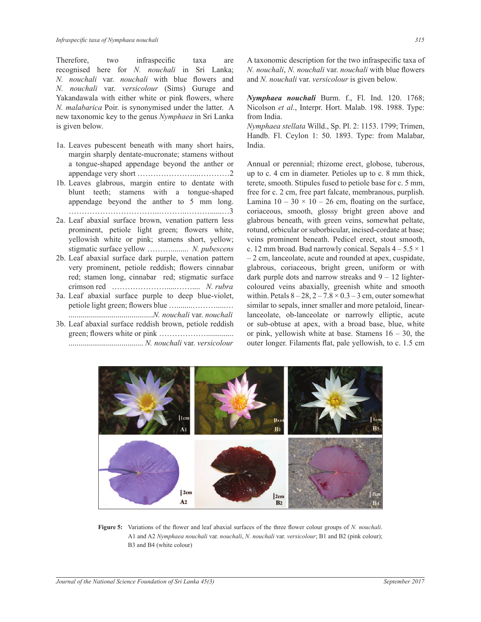Therefore, two infraspecific taxa are recognised here for *N. nouchali* in Sri Lanka; *N. nouchali var. nouchali with blue flowers and N. nouchali* var. *versicolour* (Sims) Guruge and Yakandawala with either white or pink flowers, where *N. malabarica* Poir. is synonymised under the latter. A new taxonomic key to the genus *Nymphaea* in Sri Lanka is given below.

- 1a. Leaves pubescent beneath with many short hairs, margin sharply dentate-mucronate; stamens without a tongue-shaped appendage beyond the anther or appendage very short …………………...…………2
- 1b. Leaves glabrous, margin entire to dentate with blunt teeth; stamens with a tongue-shaped appendage beyond the anther to 5 mm long. ……………………………..………..………......…3
- 2a. Leaf abaxial surface brown, venation pattern less prominent, petiole light green; flowers white, yellowish white or pink; stamens short, yellow; stigmatic surface yellow ................... N. pubescens
- 2b. Leaf abaxial surface dark purple, venation pattern very prominent, petiole reddish; flowers cinnabar red; stamen long, cinnabar red; stigmatic surface crimson red ………………….....…….... *N. rubra*
- 3a. Leaf abaxial surface purple to deep blue-violet, SHWLROHOLJKWJUHHQÀRZHUVEOXH««««« ...........................................*N. nouchali* var. *nouchali*
- 3b. Leaf abaxial surface reddish brown, petiole reddish JUHHQÀRZHUVZKLWHRUSLQN«««««« ...................................... *N. nouchali* var. *versicolour*

A taxonomic description for the two infraspecific taxa of *N. nouchali, N. nouchali* var. *nouchali* with blue flowers and *N. nouchali* var. *versicolour* is given below.

*Nymphaea nouchali* Burm. f., Fl. Ind. 120. 1768; Nicolson *et al*., Interpr. Hort. Malab. 198. 1988. Type: from India.

*Nymphaea stellata* Willd., Sp. Pl. 2: 1153. 1799; Trimen, Handb. Fl. Ceylon 1: 50. 1893. Type: from Malabar, India.

Annual or perennial; rhizome erect, globose, tuberous, up to c. 4 cm in diameter. Petioles up to c. 8 mm thick, terete, smooth. Stipules fused to petiole base for c. 5 mm, free for c. 2 cm, free part falcate, membranous, purplish. Lamina  $10 - 30 \times 10 - 26$  cm, floating on the surface, coriaceous, smooth, glossy bright green above and glabrous beneath, with green veins, somewhat peltate, rotund, orbicular or suborbicular, incised-cordate at base; veins prominent beneath. Pedicel erect, stout smooth, c. 12 mm broad. Bud narrowly conical. Sepals  $4-5.5 \times 1$ - 2 cm, lanceolate, acute and rounded at apex, cuspidate, glabrous, coriaceous, bright green, uniform or with dark purple dots and narrow streaks and  $9 - 12$  lightercoloured veins abaxially, greenish white and smooth within. Petals  $8-28$ ,  $2-7.8 \times 0.3-3$  cm, outer somewhat similar to sepals, inner smaller and more petaloid, linearlanceolate, ob-lanceolate or narrowly elliptic, acute or sub-obtuse at apex, with a broad base, blue, white or pink, yellowish white at base. Stamens  $16 - 30$ , the outer longer. Filaments flat, pale yellowish, to c. 1.5 cm



Figure 5: Variations of the flower and leaf abaxial surfaces of the three flower colour groups of N. nouchali. A1 and A2 *Nymphaea nouchali* var. *nouchali*, *N. nouchali* var. *versicolour*; B1 and B2 (pink colour); B3 and B4 (white colour)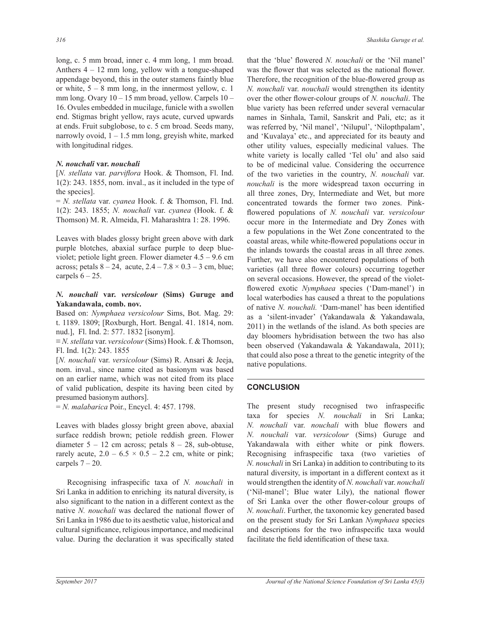long, c. 5 mm broad, inner c. 4 mm long, 1 mm broad. Anthers  $4 - 12$  mm long, yellow with a tongue-shaped appendage beyond, this in the outer stamens faintly blue or white,  $5-8$  mm long, in the innermost yellow, c. 1 mm long. Ovary  $10 - 15$  mm broad, yellow. Carpels  $10 -$ 16. Ovules embedded in mucilage, funicle with a swollen end. Stigmas bright yellow, rays acute, curved upwards at ends. Fruit subglobose, to c. 5 cm broad. Seeds many, narrowly ovoid,  $1 - 1.5$  mm long, greyish white, marked with longitudinal ridges.

#### *N. nouchali* **var.** *nouchali*

[*N. stellata var. parviflora Hook. & Thomson, Fl. Ind.*  $1(2)$ : 243. 1855, nom. inval., as it included in the type of the species].

 $N = N$ . *stellata* var. *cyanea* Hook. f. & Thomson, Fl. Ind. 1(2): 243. 1855; *N. nouchali* var. *cyanea* (Hook. f. & Thomson) M. R. Almeida, Fl. Maharashtra 1: 28. 1996.

Leaves with blades glossy bright green above with dark purple blotches, abaxial surface purple to deep blueviolet; petiole light green. Flower diameter  $4.5 - 9.6$  cm across; petals  $8-24$ , acute,  $2.4-7.8 \times 0.3-3$  cm, blue; carpels  $6 - 25$ .

#### *N. nouchali* **var.** *versicolour* **(Sims) Guruge and Yakandawala, comb. nov.**

Based on: *Nymphaea versicolour* Sims, Bot. Mag. 29: t. 1189. 1809; [Roxburgh, Hort. Bengal. 41. 1814, nom. nud.], Fl. Ind. 2: 577. 1832 [isonym].

 $\equiv N.$  *stellata* var. *versicolour* (Sims) Hook. f. & Thomson, Fl. Ind. 1(2): 243. 1855

[*N. nouchali* var. *versicolour* (Sims) R. Ansari & Jeeja, nom. inval., since name cited as basionym was based on an earlier name, which was not cited from its place of valid publication, despite its having been cited by presumed basionym authors].

= *N. malabarica* Poir., Encycl. 4: 457. 1798.

Leaves with blades glossy bright green above, abaxial surface reddish brown; petiole reddish green. Flower diameter  $5 - 12$  cm across; petals  $8 - 28$ , sub-obtuse, rarely acute,  $2.0 - 6.5 \times 0.5 - 2.2$  cm, white or pink; carpels  $7-20$ .

Recognising infraspecific taxa of N. nouchali in Sri Lanka in addition to enriching its natural diversity, is also significant to the nation in a different context as the native *N. nouchali* was declared the national flower of Sri Lanka in 1986 due to its aesthetic value, historical and cultural significance, religious importance, and medicinal value. During the declaration it was specifically stated

that the 'blue' flowered N. *nouchali* or the 'Nil manel' was the flower that was selected as the national flower. Therefore, the recognition of the blue-flowered group as *N. nouchali* var. *nouchali* would strengthen its identity over the other flower-colour groups of N. nouchali. The blue variety has been referred under several vernacular names in Sinhala, Tamil, Sanskrit and Pali, etc; as it was referred by, 'Nil manel', 'Nilupul', 'Nilopthpalam', and 'Kuvalaya' etc., and appreciated for its beauty and other utility values, especially medicinal values. The white variety is locally called 'Tel olu' and also said to be of medicinal value. Considering the occurrence of the two varieties in the country, N. *nouchali* var. *nouchali* is the more widespread taxon occurring in all three zones, Dry, Intermediate and Wet, but more concentrated towards the former two zones. Pinkflowered populations of N. nouchali var. *versicolour* occur more in the Intermediate and Dry Zones with a few populations in the Wet Zone concentrated to the coastal areas, while white-flowered populations occur in the inlands towards the coastal areas in all three zones. Further, we have also encountered populations of both varieties (all three flower colours) occurring together on several occasions. However, the spread of the violetflowered exotic *Nymphaea* species ('Dam-manel') in local waterbodies has caused a threat to the populations of native *N. nouchali*. 'Dam-manel' has been identified as a 'silent-invader' (Yakandawala & Yakandawala, 2011) in the wetlands of the island. As both species are day bloomers hybridisation between the two has also been observed (Yakandawala & Yakandawala, 2011); that could also pose a threat to the genetic integrity of the native populations.

## **CONCLUSION**

The present study recognised two infraspecific taxa for species *N. nouchali* in Sri Lanka; *N. nouchali var. nouchali with blue flowers and N. nouchali var. versicolour* (Sims) Guruge and Yakandawala with either white or pink flowers. Recognising infraspecific taxa (two varieties of *N. nouchali* in Sri Lanka) in addition to contributing to its natural diversity, is important in a different context as it would strengthen the identity of N. *nouchali* var. *nouchali* ('Nil-manel'; Blue water Lily), the national flower of Sri Lanka over the other flower-colour groups of *N. nouchali*. Further, the taxonomic key generated based on the present study for Sri Lankan *Nymphaea* species and descriptions for the two infraspecific taxa would facilitate the field identification of these taxa.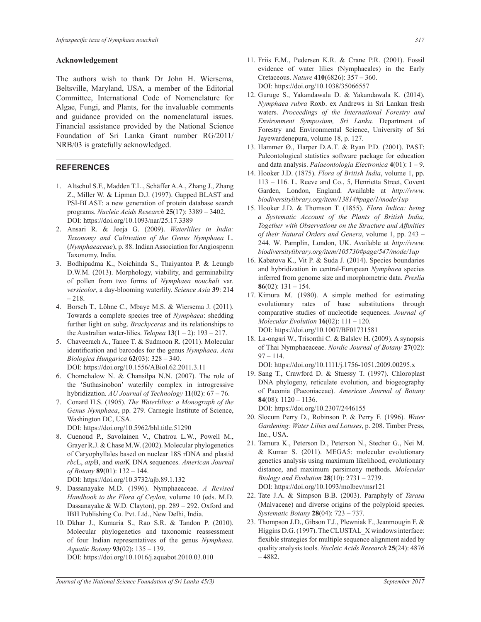#### **Acknowledgement**

The authors wish to thank Dr John H. Wiersema, Beltsville, Maryland, USA, a member of the Editorial Committee, International Code of Nomenclature for Algae, Fungi, and Plants, for the invaluable comments and guidance provided on the nomenclatural issues. Financial assistance provided by the National Science Foundation of Sri Lanka Grant number RG/2011/ NRB/03 is gratefully acknowledged.

## **REFERENCES**

- 1. Altschul S.F., Madden T.L., Schäffer A.A., Zhang J., Zhang Z., Miller W. & Lipman D.J. (1997). Gapped BLAST and PSI-BLAST: a new generation of protein database search programs. *Nucleic Acids Research* **25** DOI: https://doi.org/10.1093/nar/25.17.3389
- 2. Ansari R. & Jeeja G. (2009). Waterlilies in India: *Taxonomy and Cultivation of the Genus Nymphaea* L. (*Nymphaeaceae*), p. 88. Indian Association for Angiosperm Taxonomy, India.
- 3. Bodhipadma K., Noichinda S., Thaiyantoa P. & Leungb D.W.M. (2013). Morphology, viability, and germinability of pollen from two forms of Nymphaea nouchali var. *versicolor*, a day-blooming waterlily. Science Asia 39: 214  $-218.$
- 4. Borsch T., Löhne C., Mbaye M.S. & Wiersema J. (2011). Towards a complete species tree of *Nymphaea*: shedding further light on subg. *Brachyceras* and its relationships to the Australian water-lilies. *Telopea*  $13(1 – 2)$ : 193 – 217.
- 5. Chaveerach A., Tanee T. & Sudmoon R. (2011). Molecular identification and barcodes for the genus Nymphaea. Acta *Biologica Hungarica* **62** DOI: https://doi.org/10.1556/ABiol.62.2011.3.11
- 6. Chomchalow N. & Chansilpa N.N. (2007). The role of the 'Suthasinobon' waterlily complex in introgressive hybridization.  $AU$  Journal of Technology  $11(02)$ :  $67 - 76$ .
- 7. Conard H.S. (1905). *The Waterlilies: a Monograph of the Genus Nymphaea*, pp. 279. Carnegie Institute of Science, Washington DC, USA.
	- DOI: https://doi.org/10.5962/bhl.title.51290
- 8. Cuenoud P., Savolainen V., Chatrou L.W., Powell M., Grayer R.J. & Chase M.W. (2002). Molecular phylogenetics of Caryophyllales based on nuclear 18S rDNA and plastid  $rbcL$ ,  $atpB$ , and  $matK$  DNA sequences. American Journal *of Botany* **89** DOI: https://doi.org/10.3732/ajb.89.1.132
- 9. Dassanayake M.D. (1996). Nymphaeaceae. *A Revised Handbook to the Flora of Ceylon*, volume 10 (eds. M.D. Dassanayake & W.D. Clayton), pp.  $289 - 292$ . Oxford and IBH Publishing Co. Pvt. Ltd., New Delhi, India.
- 10. Dkhar J., Kumaria S., Rao S.R. & Tandon P. (2010). Molecular phylogenetics and taxonomic reassessment of four Indian representatives of the genus *Nymphaea*. *Aquatic Botany* **93** DOI: https://doi.org/10.1016/j.aquabot.2010.03.010
- 11. Friis E.M., Pedersen K.R. & Crane P.R. (2001). Fossil evidence of water lilies (Nymphaeales) in the Early Cretaceous. *Nature* **410** DOI: https://doi.org/10.1038/35066557
- 12. Guruge S., Yakandawala D. & Yakandawala K. (2014). *Nymphaea rubra* Roxb. ex Andrews in Sri Lankan fresh waters. Proceedings of the International Forestry and *Environment Symposium, Sri Lanka.* Department of Forestry and Environmental Science, University of Sri Jayewardenepura, volume 18, p. 127.
- 13. Hammer Ø., Harper D.A.T. & Ryan P.D. (2001). PAST: Paleontological statistics software package for education and data analysis. *Palaeontologia Electronica* **4**
- 14. Hooker J.D. (1875). *Flora of British India*, volume 1, pp. 113 - 116. L. Reeve and Co., 5, Henrietta Street, Covent Garden, London, England. Available at http://www. *biodiversitylibrary.org/item/13814#page/1/mode/1up*
- 15. Hooker J.D. & Thomson T. (1855). Flora Indica: being *a Systematic Account of the Plants of British India, Together with Observations on the Structure and Affinities of their Natural Orders and Genera*, volume 1, pp. 243 -244. W. Pamplin, London, UK. Available at http://www. *biodiversitylibrary.org/item/105730#page/547/mode/1up*
- 16. Kabatova K., Vit P. & Suda J. (2014). Species boundaries and hybridization in central-European Nymphaea species inferred from genome size and morphometric data. Preslia **86**(02):  $131 - 154$ .
- 17. Kimura M. (1980). A simple method for estimating evolutionary rates of base substitutions through comparative studies of nucleotide sequences. *Journal of Molecular Evolution* **16** DOI: https://doi.org/10.1007/BF01731581
- 18. La-ongsri W., Trisonthi C. & Balslev H. (2009). A synopsis of Thai Nymphaeaceae. *Nordic Journal of Botany* **27**(02):  $97 - 114.$

DOI: https://doi.org/10.1111/j.1756-1051.2009.00295.x

19. Sang T., Crawford D. & Stuessy T. (1997). Chloroplast DNA phylogeny, reticulate evolution, and biogeography of Paeonia (Paeoniaceae). *American Journal of Botany* **84**(08):  $1120 - 1136$ .

DOI: https://doi.org/10.2307/2446155

- 20. Slocum Perry D., Robinson P. & Perry F. (1996). Water *Gardening: Water Lilies and Lotuses*, p. 208. Timber Press, Inc., USA.
- 21. Tamura K., Peterson D., Peterson N., Stecher G., Nei M. & Kumar S. (2011). MEGA5: molecular evolutionary genetics analysis using maximum likelihood, evolutionary distance, and maximum parsimony methods. *Molecular Biology and Evolution* **28** DOI: https://doi.org/10.1093/molbev/msr121
- $22$ . Tate J.A.  $\&$  Simpson B.B. (2003). Paraphyly of *Tarasa* (Malvaceae) and diverse origins of the polyploid species. *Systematic Botany* **28**
- 23. Thompson J.D., Gibson T.J., Plewniak F., Jeanmougin F. & Higgins D.G. (1997). The CLUSTAL X windows interface: flexible strategies for multiple sequence alignment aided by quality analysis tools. *Nucleic Acids Research* **25**(24): 4876  $-4882.$